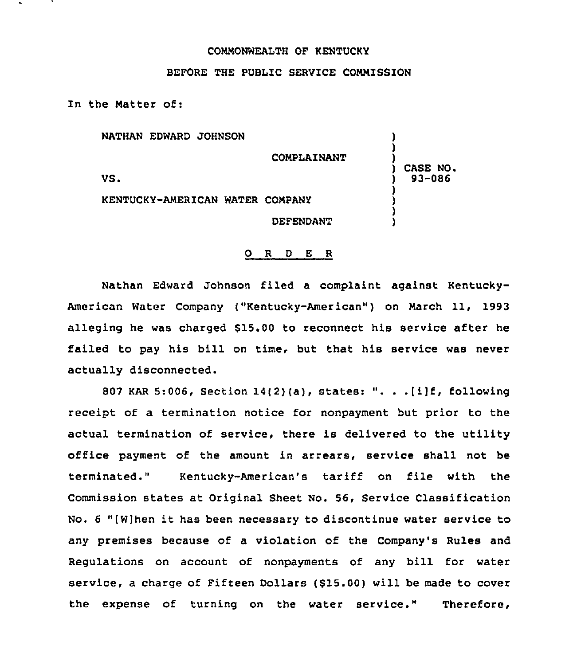## COMMONWEALTH OF KENTUCKY

## BEFORE THE PUBLIC SERVICE COMMISSION

In the Matter of:

| NATHAN EDWARD JOHNSON           | COMPLAINANT      |                        |
|---------------------------------|------------------|------------------------|
| VS.                             |                  | CASE NO.<br>$93 - 086$ |
| KENTUCKY-AMERICAN WATER COMPANY |                  |                        |
|                                 | <b>DEFENDANT</b> |                        |

## 0 <sup>R</sup> <sup>D</sup> <sup>E</sup> R

Nathan Edward Johnson filed a complaint against Kentucky-American Water Company ("Kentucky-American") on March 11, 1993 alleging he was charged 815.00 to reconnect his service after he failed to pay his bill on time, but that his service was never actually disconnected.

807 KAR 5:006, Section  $14(2)(a)$ , states: ". . . [i]f, following receipt of a termination notice for nonpayment but prior to the actual termination of service, there is delivered to the utility office payment of the amount in arrears, service shall not be terminated." Kentucky-American's tariff on file with the Commission states at Original Sheet No. 56, Service Classification No. <sup>6</sup> "[W]hen it has been necessary to discontinue water service to any premises because of a violation of the Company's Rules and Regulations on account of nonpayments of any bill for water service, a charge of Fifteen Dollars (\$15.00) will be made to cover the expense of turning on the water service." Therefore,